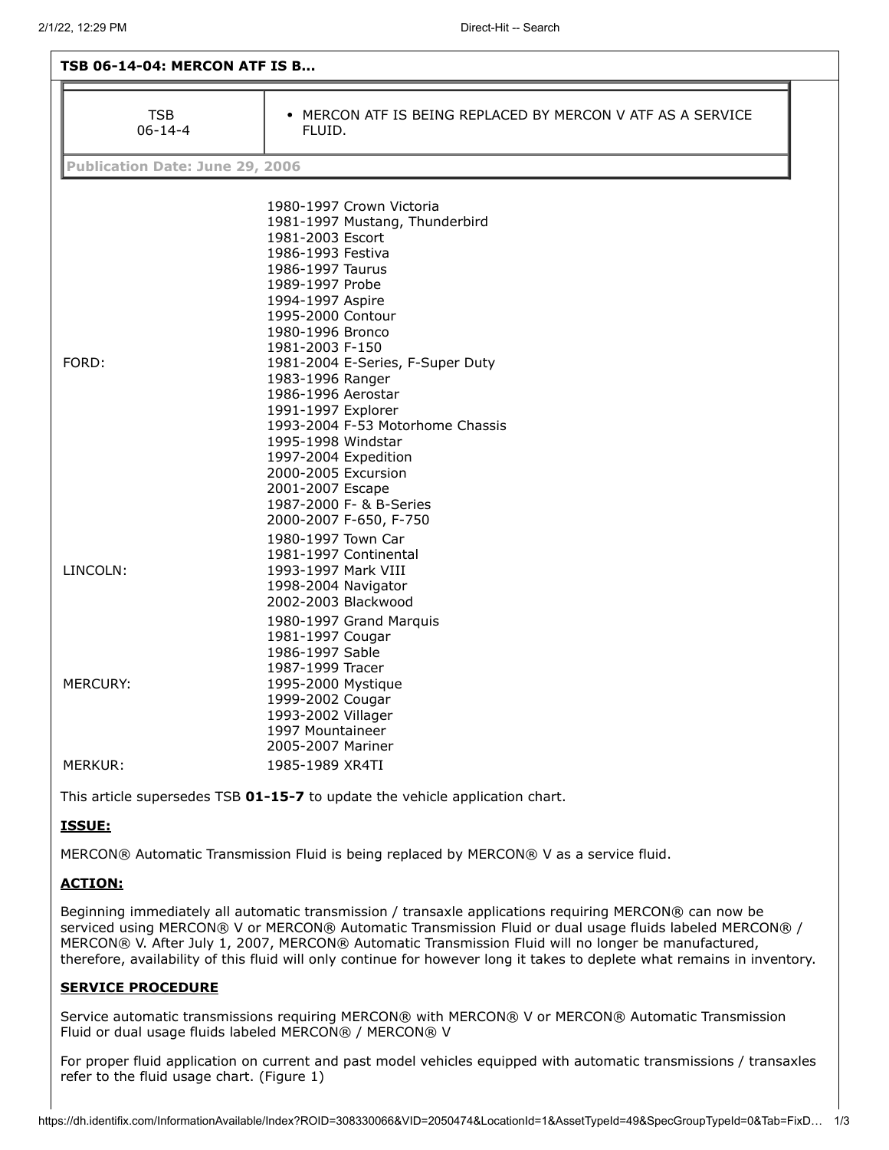| <b>TSB 06-14-04: MERCON ATF IS B</b>   |                                                                                                                                                                                                                                                                                    |  |  |
|----------------------------------------|------------------------------------------------------------------------------------------------------------------------------------------------------------------------------------------------------------------------------------------------------------------------------------|--|--|
| <b>TSB</b><br>$06 - 14 - 4$            | • MERCON ATF IS BEING REPLACED BY MERCON V ATF AS A SERVICE<br>FLUID.                                                                                                                                                                                                              |  |  |
| <b>Publication Date: June 29, 2006</b> |                                                                                                                                                                                                                                                                                    |  |  |
|                                        |                                                                                                                                                                                                                                                                                    |  |  |
|                                        | 1980-1997 Crown Victoria<br>1981-1997 Mustang, Thunderbird<br>1981-2003 Escort<br>1986-1993 Festiva<br>1986-1997 Taurus<br>1989-1997 Probe<br>1994-1997 Aspire<br>1995-2000 Contour<br>1980-1996 Bronco<br>1981-2003 F-150                                                         |  |  |
| FORD:                                  | 1981-2004 E-Series, F-Super Duty<br>1983-1996 Ranger<br>1986-1996 Aerostar<br>1991-1997 Explorer<br>1993-2004 F-53 Motorhome Chassis<br>1995-1998 Windstar<br>1997-2004 Expedition<br>2000-2005 Excursion<br>2001-2007 Escape<br>1987-2000 F- & B-Series<br>2000-2007 F-650, F-750 |  |  |
| LINCOLN:                               | 1980-1997 Town Car<br>1981-1997 Continental<br>1993-1997 Mark VIII<br>1998-2004 Navigator<br>2002-2003 Blackwood<br>1980-1997 Grand Marquis<br>1981-1997 Cougar                                                                                                                    |  |  |
| <b>MERCURY:</b>                        | 1986-1997 Sable<br>1987-1999 Tracer<br>1995-2000 Mystique<br>1999-2002 Cougar<br>1993-2002 Villager<br>1997 Mountaineer<br>2005-2007 Mariner                                                                                                                                       |  |  |
| MERKUR:                                | 1985-1989 XR4TI                                                                                                                                                                                                                                                                    |  |  |

This article supersedes TSB **01-15-7** to update the vehicle application chart.

## **ISSUE:**

MERCON® Automatic Transmission Fluid is being replaced by MERCON® V as a service fluid.

## **ACTION:**

Beginning immediately all automatic transmission / transaxle applications requiring MERCON® can now be serviced using MERCON® V or MERCON® Automatic Transmission Fluid or dual usage fluids labeled MERCON® / MERCON® V. After July 1, 2007, MERCON® Automatic Transmission Fluid will no longer be manufactured, therefore, availability of this fluid will only continue for however long it takes to deplete what remains in inventory.

## **SERVICE PROCEDURE**

Service automatic transmissions requiring MERCON® with MERCON® V or MERCON® Automatic Transmission Fluid or dual usage fluids labeled MERCON® / MERCON® V

For proper fluid application on current and past model vehicles equipped with automatic transmissions / transaxles refer to the fluid usage chart. (Figure 1)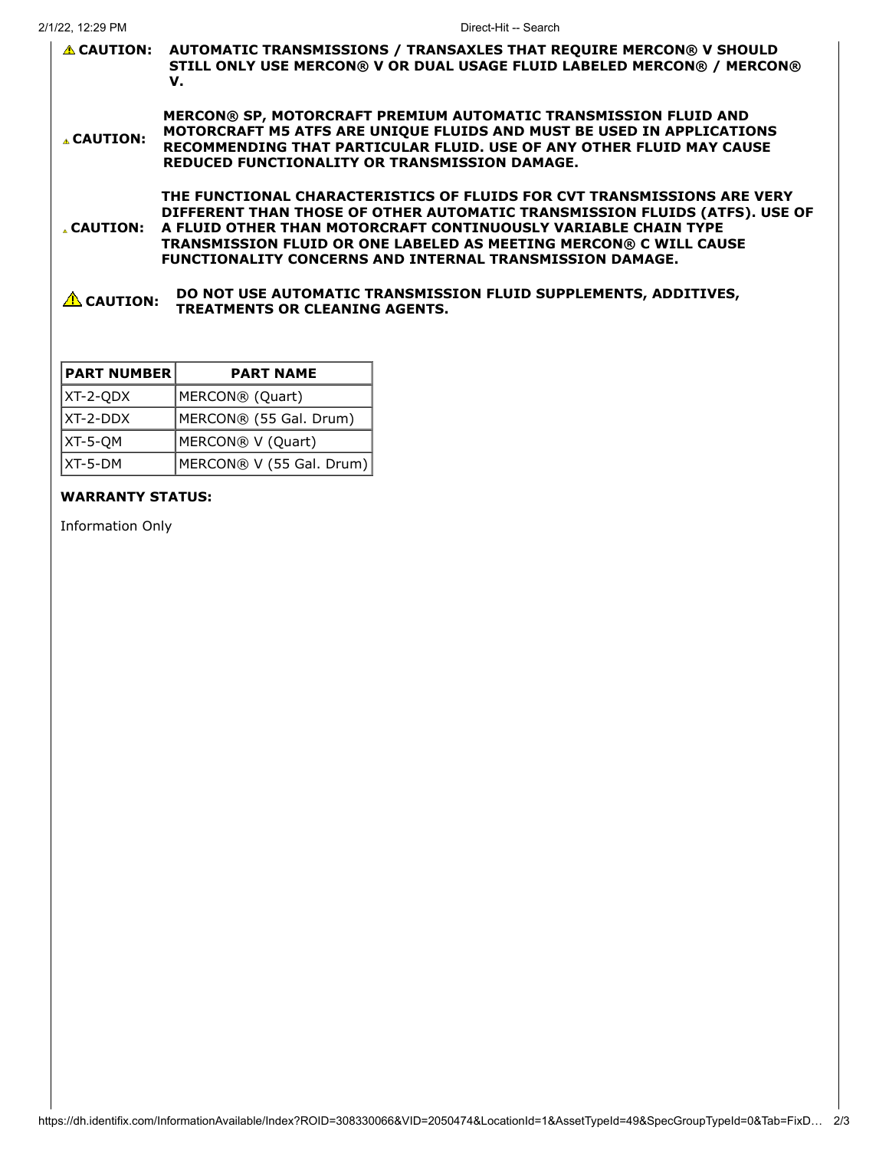|                      | <b>△ CAUTION: AUTOMATIC TRANSMISSIONS / TRANSAXLES THAT REQUIRE MERCON® V SHOULD</b><br>STILL ONLY USE MERCON® V OR DUAL USAGE FLUID LABELED MERCON® / MERCON®<br>v.                                                                                                                                                                                            |
|----------------------|-----------------------------------------------------------------------------------------------------------------------------------------------------------------------------------------------------------------------------------------------------------------------------------------------------------------------------------------------------------------|
| <b>A CAUTION:</b>    | MERCON® SP, MOTORCRAFT PREMIUM AUTOMATIC TRANSMISSION FLUID AND<br>MOTORCRAFT M5 ATFS ARE UNIQUE FLUIDS AND MUST BE USED IN APPLICATIONS<br>RECOMMENDING THAT PARTICULAR FLUID. USE OF ANY OTHER FLUID MAY CAUSE<br><b>REDUCED FUNCTIONALITY OR TRANSMISSION DAMAGE.</b>                                                                                        |
| . CAUTION:           | THE FUNCTIONAL CHARACTERISTICS OF FLUIDS FOR CVT TRANSMISSIONS ARE VERY<br>DIFFERENT THAN THOSE OF OTHER AUTOMATIC TRANSMISSION FLUIDS (ATFS). USE OF<br>A FLUID OTHER THAN MOTORCRAFT CONTINUOUSLY VARIABLE CHAIN TYPE<br>TRANSMISSION FLUID OR ONE LABELED AS MEETING MERCON® C WILL CAUSE<br><b>FUNCTIONALITY CONCERNS AND INTERNAL TRANSMISSION DAMAGE.</b> |
| $\triangle$ CAUTION: | DO NOT USE AUTOMATIC TRANSMISSION FLUID SUPPLEMENTS, ADDITIVES,<br><b>TREATMENTS OR CLEANING AGENTS.</b>                                                                                                                                                                                                                                                        |

| <b>PART NUMBER</b> | <b>PART NAME</b>         |
|--------------------|--------------------------|
| $ XT-2-QDX $       | MERCON® (Quart)          |
| XT-2-DDX           | MERCON® (55 Gal. Drum)   |
| $ XT-5-QM$         | MERCON® V (Quart)        |
| XT-5-DM            | MERCON® V (55 Gal. Drum) |

## **WARRANTY STATUS:**

Information Only